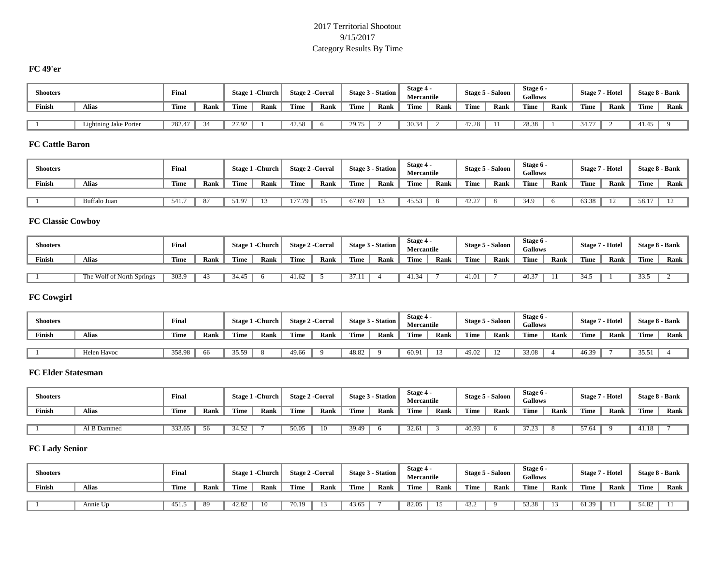#### 2017 Territorial Shootout 9/15/2017 Category Results By Time

# **FC 49'er**

| <b>Shooters</b> |                       | Final  |      |             | <b>Stage 1 - Church</b> | <b>Stage 2 - Corral</b> |      |       | Stage 3 - Station | Stage 4<br>Mercantile |      |                | Stage 5 - Saloon | Stage 6 -<br><b>Gallows</b> |      | <b>Stage 7 - Hotel</b> |      | <b>Stage 8 - Bank</b> |      |
|-----------------|-----------------------|--------|------|-------------|-------------------------|-------------------------|------|-------|-------------------|-----------------------|------|----------------|------------------|-----------------------------|------|------------------------|------|-----------------------|------|
| Finish          | <b>Alias</b>          | Time   | Rank | <b>Time</b> | Rank                    | Time                    | Rank | Time  | Rank              | Time                  | Rank | Time           | Rank             | Time                        | Rank | Time                   | Rank | Time                  | Rank |
|                 |                       |        |      |             |                         |                         |      |       |                   |                       |      |                |                  |                             |      |                        |      |                       |      |
|                 | Lightning Jake Porter | 282.47 | 34   | 27.92       |                         | 42.58                   |      | 29.75 |                   | 30.34                 |      | 17.29<br>41.26 |                  | 28.38                       |      | $34.7^{\circ}$         |      | 41.45                 |      |

#### **FC Cattle Baron**

| <b>Shooters</b> |              | Final |      |       | Stage 1 - Church | <b>Stage 2 - Corral</b> |      |       | Stage 3 - Station | Stage 4 -<br>Mercantile |      |       | Stage 5 - Saloon | Stage 6 -<br><b>Gallows</b> |      | <b>Stage 7 - Hotel</b> |      | Stage 8 - Bank |      |
|-----------------|--------------|-------|------|-------|------------------|-------------------------|------|-------|-------------------|-------------------------|------|-------|------------------|-----------------------------|------|------------------------|------|----------------|------|
| Finish          | Alias        | Time  | Rank | Time  | Rank             | Time                    | Rank | Time  | Rank              | Time                    | Rank | Time  | Rank             | Time                        | Rank | Time                   | Rank | <b>Time</b>    | Rank |
|                 |              |       |      |       |                  |                         |      |       |                   |                         |      |       |                  |                             |      |                        |      |                |      |
|                 | Buffalo Juan | 541.7 | 87   | 51.97 |                  | 177.79                  |      | 67.69 |                   | 45.53                   |      | 42.27 |                  | 34.9                        |      | 63.38                  | -12  | 58.17          |      |

# **FC Classic Cowboy**

| <b>Shooters</b> |                                                    | Final |      |       | Stage 1 - Church | <b>Stage 2 - Corral</b> |      |      | Stage 3 - Station | Stage 4 -<br><b>Mercantile</b> |      |             | Stage 5 - Saloon | Stage 6 -<br><b>Gallows</b> |      | Stage 7 | - Hotel |      | Stage 8 - Bank |
|-----------------|----------------------------------------------------|-------|------|-------|------------------|-------------------------|------|------|-------------------|--------------------------------|------|-------------|------------------|-----------------------------|------|---------|---------|------|----------------|
| Finish          | Alias                                              | Time  | Rank | Time  | Rank             | Time                    | Rank | Time | Rank              | Time                           | Rank | <b>Time</b> | Rank             | Time                        | Rank | Time    | Rank    | Time | Rank           |
|                 |                                                    |       |      |       |                  |                         |      |      |                   |                                |      |             |                  |                             |      |         |         |      |                |
|                 | $\overline{\phantom{a}}$ The Wolf of North Springs | 303.9 | 43   | 34.45 |                  | 41.62                   |      | .    |                   | 41.34                          |      | 41.01       |                  | 40.37                       |      | ں +ں    |         | 33.5 |                |

# **FC Cowgirl**

| <b>Shooters</b> |             | Final  |      |       | Stage 1 - Church | <b>Stage 2 -Corral</b> |      |       | Stage 3 - Station | Stage 4 -<br>Mercantile |      |       | Stage 5 - Saloon | Stage 6 -<br><b>Gallows</b> |      | <b>Stage 7 - Hotel</b> |      | Stage 8 - Bank |      |
|-----------------|-------------|--------|------|-------|------------------|------------------------|------|-------|-------------------|-------------------------|------|-------|------------------|-----------------------------|------|------------------------|------|----------------|------|
| <b>Finish</b>   | Alias       | Time   | Rank | Time  | Rank             | Time                   | Rank | Time  | Rank              | Time                    | Rank | Time  | Rank             | Time                        | Rank | Time                   | Rank | Time           | Rank |
|                 |             |        |      |       |                  |                        |      |       |                   |                         |      |       |                  |                             |      |                        |      |                |      |
|                 | Helen Havoc | 358.98 | 66   | 35.59 |                  | 49.66                  |      | 48.82 |                   | 60.91                   |      | 49.02 |                  | 33.08                       |      | 46.39                  |      | 35.51          |      |

## **FC Elder Statesman**

| <b>Shooters</b> |              | Final  |      |       | <b>Stage 1 - Church</b> | <b>Stage 2 - Corral</b> |      |       | Stage 3 - Station | Stage 4 -<br><b>Mercantile</b> |      |       | <b>Stage 5 - Saloon</b> | Stage 6 -<br><b>Gallows</b> |      | <b>Stage 7 - Hotel</b> |      |       | Stage 8 - Bank |
|-----------------|--------------|--------|------|-------|-------------------------|-------------------------|------|-------|-------------------|--------------------------------|------|-------|-------------------------|-----------------------------|------|------------------------|------|-------|----------------|
| Finish          | <b>Alias</b> | Time   | Rank | Time  | Rank                    | Time                    | Rank | Time  | Rank              | Time                           | Rank | Time  | Rank                    | Time                        | Rank | Time                   | Rank | Time  | Rank           |
|                 |              |        |      |       |                         |                         |      |       |                   |                                |      |       |                         |                             |      |                        |      |       |                |
|                 | Al B Dammed  | 333.65 | 56   | 34.52 |                         | 50.05                   | 10   | 39.49 |                   | 32.61                          |      | 40.93 |                         | 37.23                       |      | 57.64                  |      | 41.18 |                |

# **FC Lady Senior**

| <b>Shooters</b> |          | Final |      |             | Stage 1 - Church | <b>Stage 2 - Corral</b> |      |       | Stage 3 - Station | Stage 4 -<br>Mercantile |      |      | Stage 5 - Saloon | Stage 6 -<br><b>Gallows</b> |      | <b>Stage 7 - Hotel</b> |      |       | Stage 8 - Bank |
|-----------------|----------|-------|------|-------------|------------------|-------------------------|------|-------|-------------------|-------------------------|------|------|------------------|-----------------------------|------|------------------------|------|-------|----------------|
| Finish          | Alias    | Time  | Rank | <b>Time</b> | Rank             | Time                    | Rank | Time  | Rank              | Time                    | Rank | Time | Rank             | Time                        | Rank | Time                   | Rank | Time  | Rank           |
|                 |          |       |      |             |                  |                         |      |       |                   |                         |      |      |                  |                             |      |                        |      |       |                |
|                 | Annie Up | 451.5 | 89   | 42.82       |                  | 70.19                   |      | 43.65 |                   | 82.05                   |      | 13.2 |                  | 53.38                       |      | 1.39                   |      | 54.82 |                |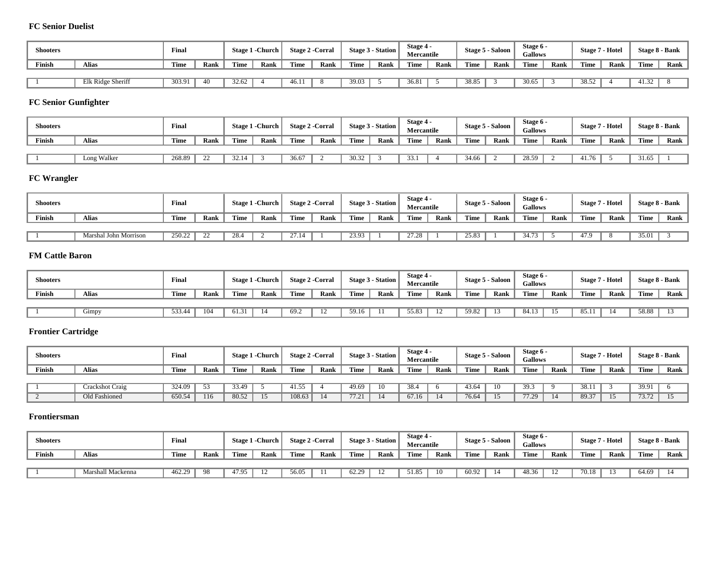#### **FC Senior Duelist**

| <b>Shooters</b> |                   | Final  |      |             | Stage 1 - Church |      | Stage 2 - Corral |       | Stage 3 - Station | Stage 4 -<br>Mercantile |      |             | Stage 5 - Saloon | Stage 6 -<br><b>Gallows</b> |      | Stage 7     | ' - Hotel |       | Stage 8 - Bank |
|-----------------|-------------------|--------|------|-------------|------------------|------|------------------|-------|-------------------|-------------------------|------|-------------|------------------|-----------------------------|------|-------------|-----------|-------|----------------|
| Finish          | Alias             | Time   | Rank | <b>Time</b> | Rank             | Time | Rank             | Time  | Rank              | <b>Time</b>             | Rank | <b>Time</b> | Rank             | Time                        | Rank | <b>Time</b> | Rank      | Time  | Rank           |
|                 |                   |        |      |             |                  |      |                  |       |                   |                         |      |             |                  |                             |      |             |           |       |                |
|                 | Elk Ridge Sheriff | 303.91 | 40   | 32.62       |                  | 46.1 |                  | 39.03 |                   | 36.81                   |      | 38.85       |                  | 30.65                       |      | 38.52       |           | 41.32 |                |

# **FC Senior Gunfighter**

| <b>Shooters</b> |             | Final  |         |       | <b>Stage 1 - Church</b> | Stage 2 - Corral |      |             | Stage 3 - Station | Stage 4 -<br><b>Mercantile</b> |      |       | Stage 5 - Saloon | Stage 6 -<br><b>Gallows</b> |      | <b>Stage 7 - Hotel</b> |      |             | Stage 8 - Bank |
|-----------------|-------------|--------|---------|-------|-------------------------|------------------|------|-------------|-------------------|--------------------------------|------|-------|------------------|-----------------------------|------|------------------------|------|-------------|----------------|
| Finish          | Alias       | Time   | Rank    | Time  | Rank                    | Time             | Rank | <b>Time</b> | Rank              | Time                           | Rank | Time  | Rank             | Time                        | Rank | Time                   | Rank | <b>Time</b> | Rank           |
|                 |             |        |         |       |                         |                  |      |             |                   |                                |      |       |                  |                             |      |                        |      |             |                |
|                 | Long Walker | 268.89 | つつ<br>∸ | 32.14 |                         | 36.67            |      | 30.32       |                   | 33.1                           |      | 34.66 |                  | 28.59                       |      | 41.76                  |      | 31.65       |                |

# **FC Wrangler**

| <b>Shooters</b> |                       | Final  |      |      | Stage 1 - Church |       | <b>Stage 2 -Corral</b> |       | Stage 3 - Station | Stage 4 -<br><b>Mercantile</b> |      |       | <b>Stage 5 - Saloon</b> | Stage 6 -<br><b>Gallows</b> |      | <b>Stage 7 - Hotel</b> |      |       | Stage 8 - Bank |
|-----------------|-----------------------|--------|------|------|------------------|-------|------------------------|-------|-------------------|--------------------------------|------|-------|-------------------------|-----------------------------|------|------------------------|------|-------|----------------|
| Finish          | Alias                 | Time   | Rank | Time | Rank             | Time  | Rank                   | Time  | Rank              | Time                           | Rank | Time  | Rank                    | Time                        | Rank | Time                   | Rank | Time  | Rank           |
|                 |                       |        |      |      |                  |       |                        |       |                   |                                |      |       |                         |                             |      |                        |      |       |                |
|                 | Marshal John Morrison | 250.22 | 22   | 28.4 |                  | 27.14 |                        | 23.93 |                   | 27.28                          |      | 25.83 |                         | 34.73                       |      | 47.9                   |      | 35.01 |                |

#### **FM Cattle Baron**

| <b>Shooters</b> |                 | Final  |      |       | Stage 1 - Church |      | <b>Stage 2 - Corral</b> |       | Stage 3 - Station | Stage 4 -<br><b>Mercantile</b> |      |       | Stage 5 - Saloon | Stage 6 -<br><b>Gallows</b> |      | Stage 7 | - Hotel |       | Stage 8 - Bank |
|-----------------|-----------------|--------|------|-------|------------------|------|-------------------------|-------|-------------------|--------------------------------|------|-------|------------------|-----------------------------|------|---------|---------|-------|----------------|
| Finish          | <b>Alias</b>    | Time   | Rank | Time  | Rank             | Time | Rank                    | Time  | Rank              | Time                           | Rank | Time  | Rank             | Time                        | Rank | Time    | Rank    | Time  | Rank           |
|                 |                 |        |      |       |                  |      |                         |       |                   |                                |      |       |                  |                             |      |         |         |       |                |
|                 | $\sim$<br>Gimpy | 533.44 | 104  | 61.31 |                  | 69.2 |                         | 59.16 |                   | 55.83                          |      | 59.82 |                  | 84.13                       |      | 85.1    | 14      | 58.88 |                |

# **Frontier Cartridge**

| <b>Shooters</b> |                 | Final  |      |       | Stage 1 - Church | <b>Stage 2 - Corral</b> |      |       | Stage 3 - Station | Stage 4 -<br><b>Mercantile</b> |      |       | <b>Stage 5 - Saloon</b> | Stage 6 -<br><b>Gallows</b> |      |       | <b>Stage 7 - Hotel</b> |       | Stage 8 - Bank |
|-----------------|-----------------|--------|------|-------|------------------|-------------------------|------|-------|-------------------|--------------------------------|------|-------|-------------------------|-----------------------------|------|-------|------------------------|-------|----------------|
| Finish          | Alias           | Time   | Rank | Time  | Rank             | Time                    | Rank | Time  | Rank              | Time                           | Rank | Time  | Rank                    | Time                        | Rank | Time  | Rank                   | Time  | Rank           |
|                 |                 |        |      |       |                  |                         |      |       |                   |                                |      |       |                         |                             |      |       |                        |       |                |
|                 | Crackshot Craig | 324.09 | 53   | 33.49 |                  | 41.55                   |      | 49.69 | 10                | 38.4                           |      | 43.64 | 10                      | 39.3                        |      | 38.13 |                        | 39.91 |                |
|                 | Old Fashioned   | 650.54 | 116  | 80.52 |                  | 108.63                  |      | 77.21 |                   | 67.16                          |      | 76.64 |                         | 77.29                       |      | 89.37 | 15                     | 73.72 |                |

#### **Frontiersman**

| <b>Shooters</b> |                   | Final  |      |       | Stage 1 - Church | <b>Stage 2 - Corral</b> |      |               | Stage 3 - Station | Stage 4 -<br>Mercantile |      |       | Stage 5 - Saloon | Stage 6 -<br><b>Gallows</b> |      | <b>Stage</b> | Hotel |       | <b>Stage 8 - Bank</b> |
|-----------------|-------------------|--------|------|-------|------------------|-------------------------|------|---------------|-------------------|-------------------------|------|-------|------------------|-----------------------------|------|--------------|-------|-------|-----------------------|
| Finish          | Alias             | Time   | Rank | Time  | Rank             | Time                    | Rank | Time          | Rank              | Time                    | Rank | Time  | Rank             | Time                        | Rank | Time         | Rank  | Time  | Rank                  |
|                 |                   |        |      |       |                  |                         |      |               |                   |                         |      |       |                  |                             |      |              |       |       |                       |
|                 | Marshall Mackenna | 462.29 | 98   | 47.95 |                  | 56.05                   |      | $\sim$<br>∴∠ت |                   | 51.85                   | 10   | 60.92 |                  | 48.36                       |      | 70.18        | 13    | 64.69 |                       |